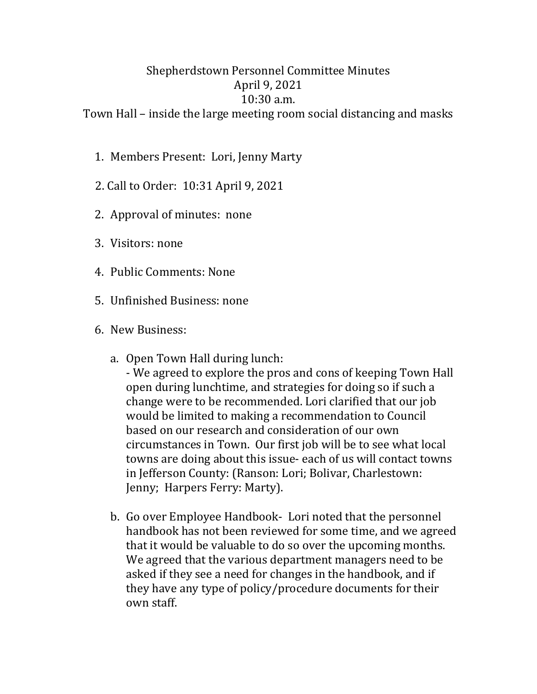## Shepherdstown Personnel Committee Minutes April 9, 2021 10:30 a.m.

Town Hall – inside the large meeting room social distancing and masks

- 1. Members Present: Lori, Jenny Marty
- 2. Call to Order: 10:31 April 9, 2021
- 2. Approval of minutes: none
- 3. Visitors: none
- 4. Public Comments: None
- 5. Unfinished Business: none
- 6. New Business:
	- a. Open Town Hall during lunch:
		- We agreed to explore the pros and cons of keeping Town Hall open during lunchtime, and strategies for doing so if such a change were to be recommended. Lori clarified that our job would be limited to making a recommendation to Council based on our research and consideration of our own circumstances in Town. Our first job will be to see what local towns are doing about this issue- each of us will contact towns in Jefferson County: (Ranson: Lori; Bolivar, Charlestown: Jenny; Harpers Ferry: Marty).
	- b. Go over Employee Handbook- Lori noted that the personnel handbook has not been reviewed for some time, and we agreed that it would be valuable to do so over the upcoming months. We agreed that the various department managers need to be asked if they see a need for changes in the handbook, and if they have any type of policy/procedure documents for their own staff.